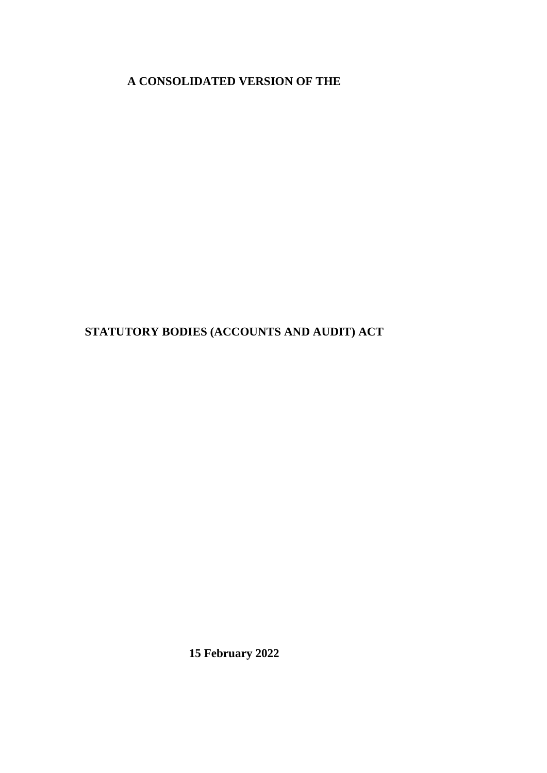**A CONSOLIDATED VERSION OF THE**

**STATUTORY BODIES (ACCOUNTS AND AUDIT) ACT**

**15 February 2022**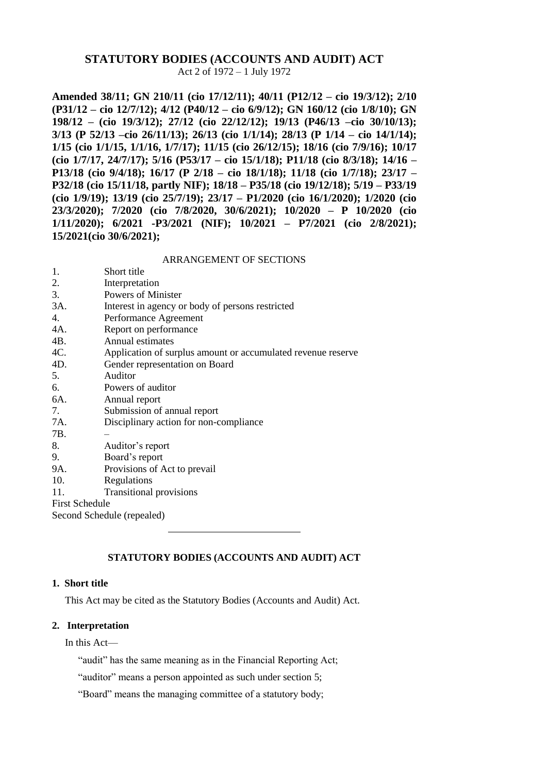# **STATUTORY BODIES (ACCOUNTS AND AUDIT) ACT**

Act 2 of 1972 – 1 July 1972

**Amended 38/11; GN 210/11 (cio 17/12/11); 40/11 (P12/12 – cio 19/3/12); 2/10 (P31/12 – cio 12/7/12); 4/12 (P40/12 – cio 6/9/12); GN 160/12 (cio 1/8/10); GN 198/12 – (cio 19/3/12); 27/12 (cio 22/12/12); 19/13 (P46/13 –cio 30/10/13); 3/13 (P 52/13 –cio 26/11/13); 26/13 (cio 1/1/14); 28/13 (P 1/14 – cio 14/1/14); 1/15 (cio 1/1/15, 1/1/16, 1/7/17); 11/15 (cio 26/12/15); 18/16 (cio 7/9/16); 10/17 (cio 1/7/17, 24/7/17); 5/16 (P53/17 – cio 15/1/18); P11/18 (cio 8/3/18); 14/16 – P13/18 (cio 9/4/18); 16/17 (P 2/18 – cio 18/1/18); 11/18 (cio 1/7/18); 23/17 – P32/18 (cio 15/11/18, partly NIF); 18/18 – P35/18 (cio 19/12/18); 5/19 – P33/19 (cio 1/9/19); 13/19 (cio 25/7/19); 23/17 – P1/2020 (cio 16/1/2020); 1/2020 (cio 23/3/2020); 7/2020 (cio 7/8/2020, 30/6/2021); 10/2020 – P 10/2020 (cio 1/11/2020); 6/2021 -P3/2021 (NIF); 10/2021 – P7/2021 (cio 2/8/2021); 15/2021(cio 30/6/2021);**

#### ARRANGEMENT OF SECTIONS

| 1.                         | Short title                                                  |  |
|----------------------------|--------------------------------------------------------------|--|
| 2.                         | Interpretation                                               |  |
| 3.                         | <b>Powers of Minister</b>                                    |  |
| 3A.                        | Interest in agency or body of persons restricted             |  |
| 4.                         | Performance Agreement                                        |  |
| 4A.                        | Report on performance                                        |  |
| 4B.                        | Annual estimates                                             |  |
| 4C.                        | Application of surplus amount or accumulated revenue reserve |  |
| 4D.                        | Gender representation on Board                               |  |
| 5.                         | Auditor                                                      |  |
| 6.                         | Powers of auditor                                            |  |
| 6A.                        | Annual report                                                |  |
| 7.                         | Submission of annual report                                  |  |
| 7A.                        | Disciplinary action for non-compliance                       |  |
| 7B.                        |                                                              |  |
| 8.                         | Auditor's report                                             |  |
| 9.                         | Board's report                                               |  |
| 9A.                        | Provisions of Act to prevail                                 |  |
| 10.                        | Regulations                                                  |  |
| 11.                        | <b>Transitional provisions</b>                               |  |
| <b>First Schedule</b>      |                                                              |  |
| Second Schedule (repealed) |                                                              |  |
|                            |                                                              |  |

## **STATUTORY BODIES (ACCOUNTS AND AUDIT) ACT**

# **1. Short title**

This Act may be cited as the Statutory Bodies (Accounts and Audit) Act.

#### **2. Interpretation**

In this Act—

"audit" has the same meaning as in the Financial Reporting Act;

"auditor" means a person appointed as such under section 5;

"Board" means the managing committee of a statutory body;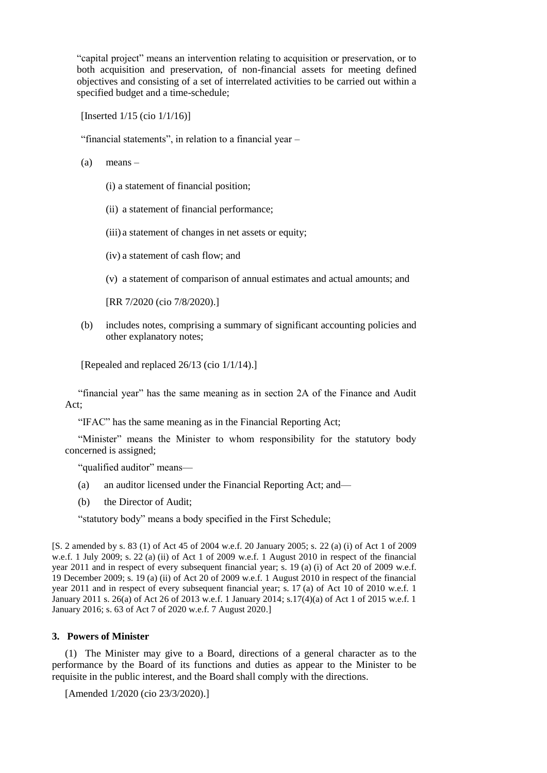"capital project" means an intervention relating to acquisition or preservation, or to both acquisition and preservation, of non-financial assets for meeting defined objectives and consisting of a set of interrelated activities to be carried out within a specified budget and a time-schedule;

[Inserted 1/15 (cio 1/1/16)]

"financial statements", in relation to a financial year –

- $(a)$  means
	- (i) a statement of financial position;
	- (ii) a statement of financial performance;

(iii) a statement of changes in net assets or equity;

- (iv) a statement of cash flow; and
- (v) a statement of comparison of annual estimates and actual amounts; and

[RR 7/2020 (cio 7/8/2020).]

(b) includes notes, comprising a summary of significant accounting policies and other explanatory notes;

[Repealed and replaced 26/13 (cio 1/1/14).]

"financial year" has the same meaning as in section 2A of the Finance and Audit Act;

"IFAC" has the same meaning as in the Financial Reporting Act;

"Minister" means the Minister to whom responsibility for the statutory body concerned is assigned;

"qualified auditor" means—

- (a) an auditor licensed under the Financial Reporting Act; and—
- (b) the Director of Audit;

"statutory body" means a body specified in the First Schedule;

[S. 2 amended by s. 83 (1) of Act 45 of 2004 w.e.f. 20 January 2005; s. 22 (a) (i) of Act 1 of 2009 w.e.f. 1 July 2009; s. 22 (a) (ii) of Act 1 of 2009 w.e.f. 1 August 2010 in respect of the financial year 2011 and in respect of every subsequent financial year; s. 19 (a) (i) of Act 20 of 2009 w.e.f. 19 December 2009; s. 19 (a) (ii) of Act 20 of 2009 w.e.f. 1 August 2010 in respect of the financial year 2011 and in respect of every subsequent financial year; s. 17 (a) of Act 10 of 2010 w.e.f. 1 January 2011 s. 26(a) of Act 26 of 2013 w.e.f. 1 January 2014; s.17(4)(a) of Act 1 of 2015 w.e.f. 1 January 2016; s. 63 of Act 7 of 2020 w.e.f. 7 August 2020.]

#### **3. Powers of Minister**

(1) The Minister may give to a Board, directions of a general character as to the performance by the Board of its functions and duties as appear to the Minister to be requisite in the public interest, and the Board shall comply with the directions.

[Amended 1/2020 (cio 23/3/2020).]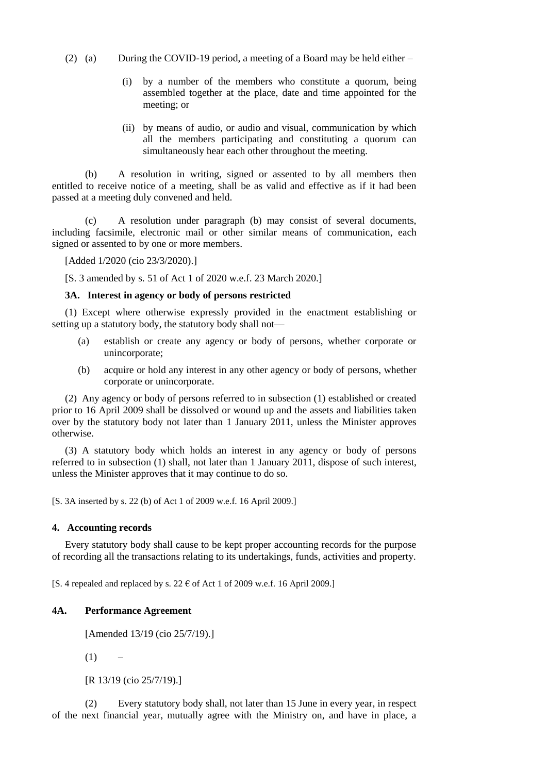- (2) (a) During the COVID-19 period, a meeting of a Board may be held either
	- (i) by a number of the members who constitute a quorum, being assembled together at the place, date and time appointed for the meeting; or
	- (ii) by means of audio, or audio and visual, communication by which all the members participating and constituting a quorum can simultaneously hear each other throughout the meeting.

(b) A resolution in writing, signed or assented to by all members then entitled to receive notice of a meeting, shall be as valid and effective as if it had been passed at a meeting duly convened and held.

(c) A resolution under paragraph (b) may consist of several documents, including facsimile, electronic mail or other similar means of communication, each signed or assented to by one or more members.

[Added 1/2020 (cio 23/3/2020).]

[S. 3 amended by s. 51 of Act 1 of 2020 w.e.f. 23 March 2020.]

#### **3A. Interest in agency or body of persons restricted**

(1) Except where otherwise expressly provided in the enactment establishing or setting up a statutory body, the statutory body shall not—

- (a) establish or create any agency or body of persons, whether corporate or unincorporate;
- (b) acquire or hold any interest in any other agency or body of persons, whether corporate or unincorporate.

(2) Any agency or body of persons referred to in subsection (1) established or created prior to 16 April 2009 shall be dissolved or wound up and the assets and liabilities taken over by the statutory body not later than 1 January 2011, unless the Minister approves otherwise.

(3) A statutory body which holds an interest in any agency or body of persons referred to in subsection (1) shall, not later than 1 January 2011, dispose of such interest, unless the Minister approves that it may continue to do so.

[S. 3A inserted by s. 22 (b) of Act 1 of 2009 w.e.f. 16 April 2009.]

#### **4. Accounting records**

Every statutory body shall cause to be kept proper accounting records for the purpose of recording all the transactions relating to its undertakings, funds, activities and property.

[S. 4 repealed and replaced by s. 22  $\epsilon$  of Act 1 of 2009 w.e.f. 16 April 2009.]

## **4A. Performance Agreement**

[Amended 13/19 (cio 25/7/19).]

 $(1)$  –

[R 13/19 (cio 25/7/19).]

(2) Every statutory body shall, not later than 15 June in every year, in respect of the next financial year, mutually agree with the Ministry on, and have in place, a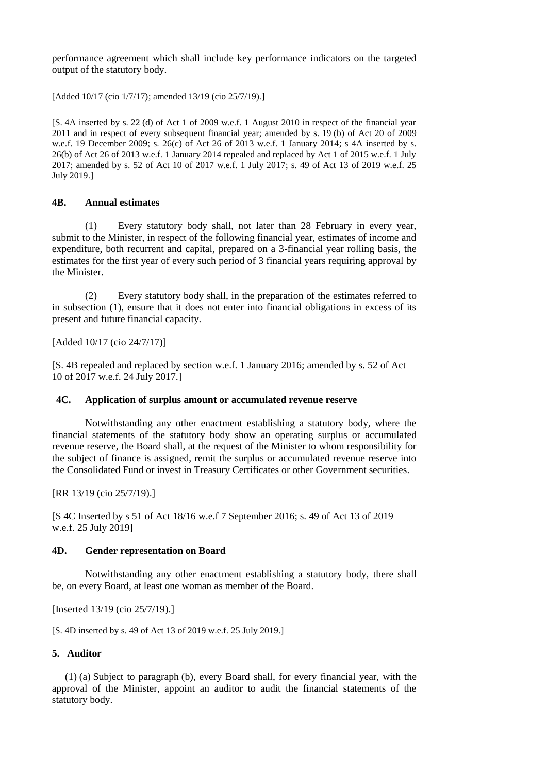performance agreement which shall include key performance indicators on the targeted output of the statutory body.

[Added 10/17 (cio 1/7/17); amended 13/19 (cio 25/7/19).]

[S. 4A inserted by s. 22 (d) of Act 1 of 2009 w.e.f. 1 August 2010 in respect of the financial year 2011 and in respect of every subsequent financial year; amended by s. 19 (b) of Act 20 of 2009 w.e.f. 19 December 2009; s. 26(c) of Act 26 of 2013 w.e.f. 1 January 2014; s 4A inserted by s. 26(b) of Act 26 of 2013 w.e.f. 1 January 2014 repealed and replaced by Act 1 of 2015 w.e.f. 1 July 2017; amended by s. 52 of Act 10 of 2017 w.e.f. 1 July 2017; s. 49 of Act 13 of 2019 w.e.f. 25 July 2019.]

#### **4B. Annual estimates**

(1) Every statutory body shall, not later than 28 February in every year, submit to the Minister, in respect of the following financial year, estimates of income and expenditure, both recurrent and capital, prepared on a 3-financial year rolling basis, the estimates for the first year of every such period of 3 financial years requiring approval by the Minister.

(2) Every statutory body shall, in the preparation of the estimates referred to in subsection (1), ensure that it does not enter into financial obligations in excess of its present and future financial capacity.

[Added 10/17 (cio 24/7/17)]

[S. 4B repealed and replaced by section w.e.f. 1 January 2016; amended by s. 52 of Act 10 of 2017 w.e.f. 24 July 2017.]

#### **4C. Application of surplus amount or accumulated revenue reserve**

Notwithstanding any other enactment establishing a statutory body, where the financial statements of the statutory body show an operating surplus or accumulated revenue reserve, the Board shall, at the request of the Minister to whom responsibility for the subject of finance is assigned, remit the surplus or accumulated revenue reserve into the Consolidated Fund or invest in Treasury Certificates or other Government securities.

[RR 13/19 (cio 25/7/19).]

[S 4C Inserted by s 51 of Act 18/16 w.e.f 7 September 2016; s. 49 of Act 13 of 2019 w.e.f. 25 July 2019]

#### **4D. Gender representation on Board**

Notwithstanding any other enactment establishing a statutory body, there shall be, on every Board, at least one woman as member of the Board.

[Inserted 13/19 (cio 25/7/19).]

[S. 4D inserted by s. 49 of Act 13 of 2019 w.e.f. 25 July 2019.]

## **5. Auditor**

(1) (a) Subject to paragraph (b), every Board shall, for every financial year, with the approval of the Minister, appoint an auditor to audit the financial statements of the statutory body.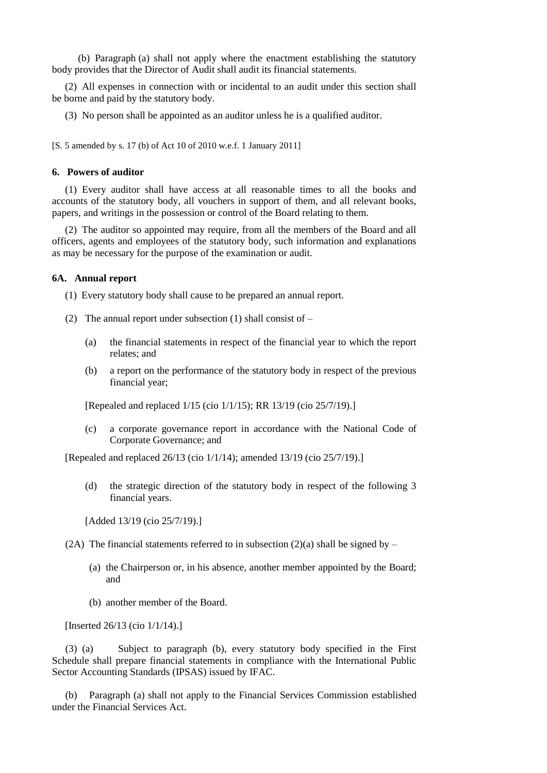(b) Paragraph (a) shall not apply where the enactment establishing the statutory body provides that the Director of Audit shall audit its financial statements.

(2) All expenses in connection with or incidental to an audit under this section shall be borne and paid by the statutory body.

(3) No person shall be appointed as an auditor unless he is a qualified auditor.

[S. 5 amended by s. 17 (b) of Act 10 of 2010 w.e.f. 1 January 2011]

#### **6. Powers of auditor**

(1) Every auditor shall have access at all reasonable times to all the books and accounts of the statutory body, all vouchers in support of them, and all relevant books, papers, and writings in the possession or control of the Board relating to them.

(2) The auditor so appointed may require, from all the members of the Board and all officers, agents and employees of the statutory body, such information and explanations as may be necessary for the purpose of the examination or audit.

## **6A. Annual report**

(1) Every statutory body shall cause to be prepared an annual report.

- (2) The annual report under subsection (1) shall consist of  $-$ 
	- (a) the financial statements in respect of the financial year to which the report relates; and
	- (b) a report on the performance of the statutory body in respect of the previous financial year;

[Repealed and replaced 1/15 (cio 1/1/15); RR 13/19 (cio 25/7/19).]

(c) a corporate governance report in accordance with the National Code of Corporate Governance; and

[Repealed and replaced 26/13 (cio 1/1/14); amended 13/19 (cio 25/7/19).]

(d) the strategic direction of the statutory body in respect of the following 3 financial years.

[Added 13/19 (cio 25/7/19).]

- (2A) The financial statements referred to in subsection (2)(a) shall be signed by
	- (a) the Chairperson or, in his absence, another member appointed by the Board; and
	- (b) another member of the Board.

[Inserted 26/13 (cio 1/1/14).]

(3) (a) Subject to paragraph (b), every statutory body specified in the First Schedule shall prepare financial statements in compliance with the International Public Sector Accounting Standards (IPSAS) issued by IFAC.

(b) Paragraph (a) shall not apply to the Financial Services Commission established under the Financial Services Act.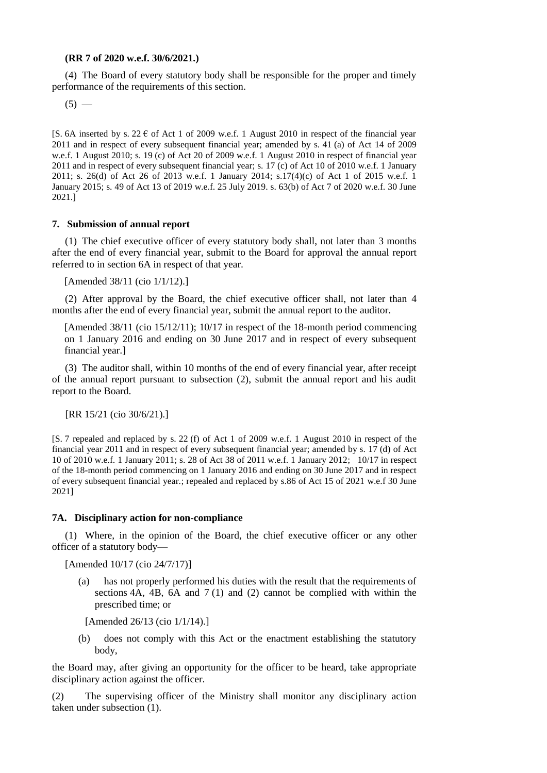#### **(RR 7 of 2020 w.e.f. 30/6/2021.)**

(4) The Board of every statutory body shall be responsible for the proper and timely performance of the requirements of this section.

 $(5)$  —

[S. 6A inserted by s. 22  $\epsilon$  of Act 1 of 2009 w.e.f. 1 August 2010 in respect of the financial year 2011 and in respect of every subsequent financial year; amended by s. 41 (a) of Act 14 of 2009 w.e.f. 1 August 2010; s. 19 (c) of Act 20 of 2009 w.e.f. 1 August 2010 in respect of financial year 2011 and in respect of every subsequent financial year; s. 17 (c) of Act 10 of 2010 w.e.f. 1 January 2011; s. 26(d) of Act 26 of 2013 w.e.f. 1 January 2014; s.17(4)(c) of Act 1 of 2015 w.e.f. 1 January 2015; s. 49 of Act 13 of 2019 w.e.f. 25 July 2019. s. 63(b) of Act 7 of 2020 w.e.f. 30 June 2021.]

#### **7. Submission of annual report**

(1) The chief executive officer of every statutory body shall, not later than 3 months after the end of every financial year, submit to the Board for approval the annual report referred to in section 6A in respect of that year.

[Amended 38/11 (cio 1/1/12).]

(2) After approval by the Board, the chief executive officer shall, not later than 4 months after the end of every financial year, submit the annual report to the auditor.

[Amended 38/11 (cio 15/12/11); 10/17 in respect of the 18-month period commencing on 1 January 2016 and ending on 30 June 2017 and in respect of every subsequent financial year.]

(3) The auditor shall, within 10 months of the end of every financial year, after receipt of the annual report pursuant to subsection (2), submit the annual report and his audit report to the Board.

[RR 15/21 (cio 30/6/21).]

[S. 7 repealed and replaced by s. 22 (f) of Act 1 of 2009 w.e.f. 1 August 2010 in respect of the financial year 2011 and in respect of every subsequent financial year; amended by s. 17 (d) of Act 10 of 2010 w.e.f. 1 January 2011; s. 28 of Act 38 of 2011 w.e.f. 1 January 2012; 10/17 in respect of the 18-month period commencing on 1 January 2016 and ending on 30 June 2017 and in respect of every subsequent financial year.; repealed and replaced by s.86 of Act 15 of 2021 w.e.f 30 June 2021]

#### **7A. Disciplinary action for non-compliance**

(1) Where, in the opinion of the Board, the chief executive officer or any other officer of a statutory body—

[Amended 10/17 (cio 24/7/17)]

(a) has not properly performed his duties with the result that the requirements of sections  $4A$ ,  $4B$ ,  $6A$  and  $7(1)$  and (2) cannot be complied with within the prescribed time; or

[Amended 26/13 (cio 1/1/14).]

(b) does not comply with this Act or the enactment establishing the statutory body,

the Board may, after giving an opportunity for the officer to be heard, take appropriate disciplinary action against the officer.

(2) The supervising officer of the Ministry shall monitor any disciplinary action taken under subsection (1).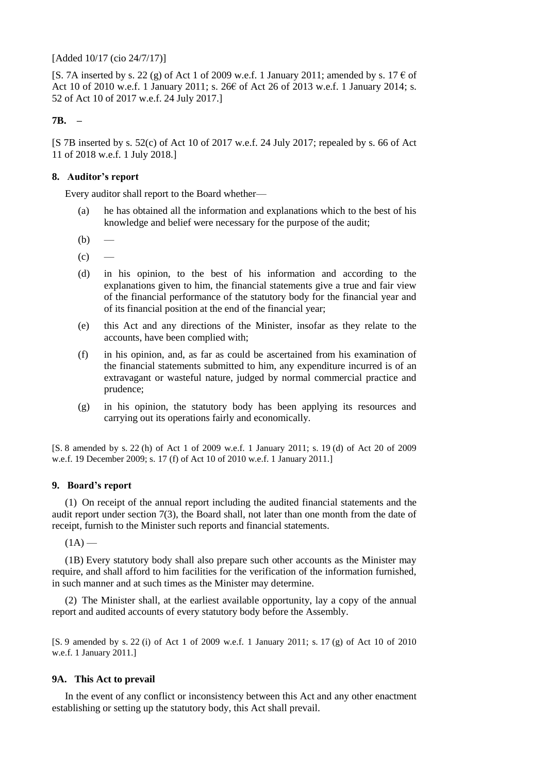[Added 10/17 (cio 24/7/17)]

[S. 7A inserted by s. 22 (g) of Act 1 of 2009 w.e.f. 1 January 2011; amended by s. 17  $\epsilon$  of Act 10 of 2010 w.e.f. 1 January 2011; s. 26€ of Act 26 of 2013 w.e.f. 1 January 2014; s. 52 of Act 10 of 2017 w.e.f. 24 July 2017.]

## **7B. –**

[S 7B inserted by s. 52(c) of Act 10 of 2017 w.e.f. 24 July 2017; repealed by s. 66 of Act 11 of 2018 w.e.f. 1 July 2018.]

## **8. Auditor's report**

Every auditor shall report to the Board whether—

- (a) he has obtained all the information and explanations which to the best of his knowledge and belief were necessary for the purpose of the audit;
- $(b)$
- $(c)$
- (d) in his opinion, to the best of his information and according to the explanations given to him, the financial statements give a true and fair view of the financial performance of the statutory body for the financial year and of its financial position at the end of the financial year;
- (e) this Act and any directions of the Minister, insofar as they relate to the accounts, have been complied with;
- (f) in his opinion, and, as far as could be ascertained from his examination of the financial statements submitted to him, any expenditure incurred is of an extravagant or wasteful nature, judged by normal commercial practice and prudence;
- (g) in his opinion, the statutory body has been applying its resources and carrying out its operations fairly and economically.

[S. 8 amended by s. 22 (h) of Act 1 of 2009 w.e.f. 1 January 2011; s. 19 (d) of Act 20 of 2009 w.e.f. 19 December 2009; s. 17 (f) of Act 10 of 2010 w.e.f. 1 January 2011.]

## **9. Board's report**

(1) On receipt of the annual report including the audited financial statements and the audit report under section 7(3), the Board shall, not later than one month from the date of receipt, furnish to the Minister such reports and financial statements.

 $(1A)$  —

(1B) Every statutory body shall also prepare such other accounts as the Minister may require, and shall afford to him facilities for the verification of the information furnished, in such manner and at such times as the Minister may determine.

(2) The Minister shall, at the earliest available opportunity, lay a copy of the annual report and audited accounts of every statutory body before the Assembly.

[S. 9 amended by s. 22 (i) of Act 1 of 2009 w.e.f. 1 January 2011; s. 17 (g) of Act 10 of 2010 w.e.f. 1 January 2011.]

## **9A. This Act to prevail**

In the event of any conflict or inconsistency between this Act and any other enactment establishing or setting up the statutory body, this Act shall prevail.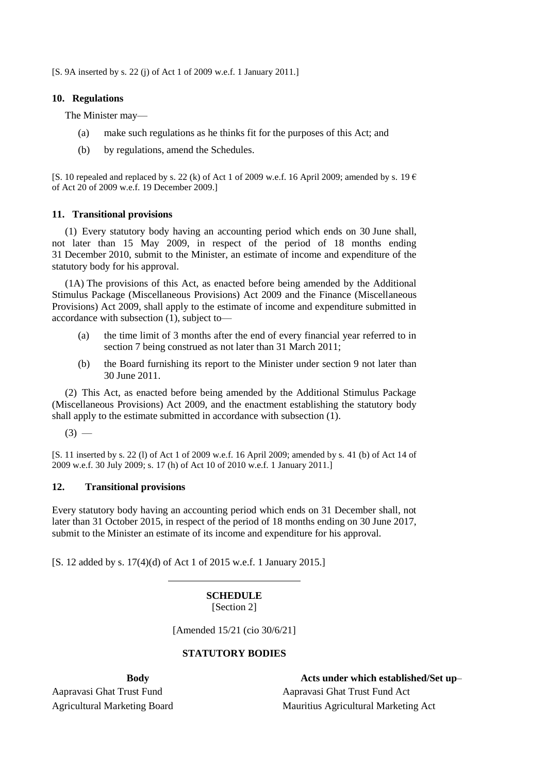[S. 9A inserted by s. 22 (j) of Act 1 of 2009 w.e.f. 1 January 2011.]

## **10. Regulations**

The Minister may—

- (a) make such regulations as he thinks fit for the purposes of this Act; and
- (b) by regulations, amend the Schedules.

[S. 10 repealed and replaced by s. 22 (k) of Act 1 of 2009 w.e.f. 16 April 2009; amended by s. 19  $\epsilon$ of Act 20 of 2009 w.e.f. 19 December 2009.]

## **11. Transitional provisions**

(1) Every statutory body having an accounting period which ends on 30 June shall, not later than 15 May 2009, in respect of the period of 18 months ending 31 December 2010, submit to the Minister, an estimate of income and expenditure of the statutory body for his approval.

(1A) The provisions of this Act, as enacted before being amended by the Additional Stimulus Package (Miscellaneous Provisions) Act 2009 and the Finance (Miscellaneous Provisions) Act 2009, shall apply to the estimate of income and expenditure submitted in accordance with subsection (1), subject to—

- (a) the time limit of 3 months after the end of every financial year referred to in section 7 being construed as not later than 31 March 2011;
- (b) the Board furnishing its report to the Minister under section 9 not later than 30 June 2011.

(2) This Act, as enacted before being amended by the Additional Stimulus Package (Miscellaneous Provisions) Act 2009, and the enactment establishing the statutory body shall apply to the estimate submitted in accordance with subsection (1).

 $(3)$  —

[S. 11 inserted by s. 22 (l) of Act 1 of 2009 w.e.f. 16 April 2009; amended by s. 41 (b) of Act 14 of 2009 w.e.f. 30 July 2009; s. 17 (h) of Act 10 of 2010 w.e.f. 1 January 2011.]

## **12. Transitional provisions**

Every statutory body having an accounting period which ends on 31 December shall, not later than 31 October 2015, in respect of the period of 18 months ending on 30 June 2017, submit to the Minister an estimate of its income and expenditure for his approval.

[S. 12 added by s. 17(4)(d) of Act 1 of 2015 w.e.f. 1 January 2015.]

## **SCHEDULE** [Section 2]

[Amended 15/21 (cio 30/6/21]

# **STATUTORY BODIES**

**Body Acts under which established/Set up**– Aapravasi Ghat Trust Fund Aapravasi Ghat Trust Fund Act Agricultural Marketing Board Mauritius Agricultural Marketing Act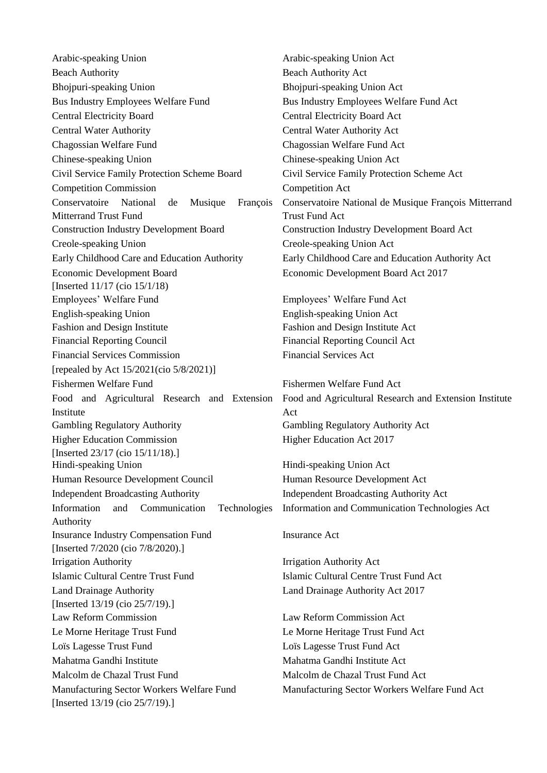Arabic-speaking Union and Arabic-speaking Union Act Beach Authority Beach Authority Act Bhojpuri-speaking Union Bhojpuri-speaking Union Act Bus Industry Employees Welfare Fund Bus Industry Employees Welfare Fund Act Central Electricity Board Central Electricity Board Act Central Water Authority Central Water Authority Act Chagossian Welfare Fund Chagossian Welfare Fund Act Chinese-speaking Union Chinese-speaking Union Act Civil Service Family Protection Scheme Board Civil Service Family Protection Scheme Act Competition Commission Competition Act Conservatoire National de Musique François Mitterrand Trust Fund Construction Industry Development Board Construction Industry Development Board Act Creole-speaking Union Creole-speaking Union Act Early Childhood Care and Education Authority Early Childhood Care and Education Authority Act Economic Development Board [Inserted 11/17 (cio 15/1/18) Employees' Welfare Fund Employees' Welfare Fund Act English-speaking Union English-speaking Union Act Fashion and Design Institute Fashion and Design Institute Act Financial Reporting Council Financial Reporting Council Act Financial Services Commission Financial Services Act [repealed by Act 15/2021(cio 5/8/2021)] Fishermen Welfare Fund Fishermen Welfare Fund Act Food and Agricultural Research and Extension Institute Gambling Regulatory Authority Gambling Regulatory Authority Act Higher Education Commission [Inserted 23/17 (cio 15/11/18).] Hindi-speaking Union Hindi-speaking Union Act Human Resource Development Council Human Resource Development Act Independent Broadcasting Authority Independent Broadcasting Authority Act Information and Communication Technologies Authority Insurance Industry Compensation Fund [Inserted 7/2020 (cio 7/8/2020).] Irrigation Authority Irrigation Authority Act Islamic Cultural Centre Trust Fund Islamic Cultural Centre Trust Fund Act Land Drainage Authority [Inserted 13/19 (cio 25/7/19).] Law Reform Commission Law Reform Commission Act Le Morne Heritage Trust Fund Le Morne Heritage Trust Fund Act Loïs Lagesse Trust Fund Loïs Lagesse Trust Fund Act Mahatma Gandhi Institute Mahatma Gandhi Institute Act Malcolm de Chazal Trust Fund Malcolm de Chazal Trust Fund Act Manufacturing Sector Workers Welfare Fund [Inserted 13/19 (cio 25/7/19).]

Conservatoire National de Musique François Mitterrand Trust Fund Act Economic Development Board Act 2017

Food and Agricultural Research and Extension Institute Act Higher Education Act 2017

Information and Communication Technologies Act

#### Insurance Act

Land Drainage Authority Act 2017

Manufacturing Sector Workers Welfare Fund Act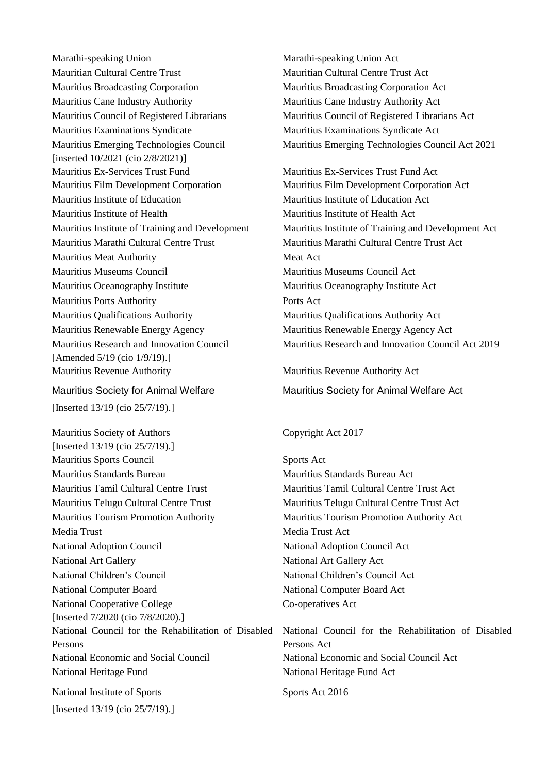Marathi-speaking Union Marathi-speaking Union Act Mauritian Cultural Centre Trust Mauritian Cultural Centre Trust Act Mauritius Broadcasting Corporation Mauritius Broadcasting Corporation Act Mauritius Cane Industry Authority Mauritius Cane Industry Authority Act Mauritius Council of Registered Librarians Mauritius Council of Registered Librarians Act Mauritius Examinations Syndicate Mauritius Examinations Syndicate Act Mauritius Emerging Technologies Council [inserted 10/2021 (cio 2/8/2021)] Mauritius Ex-Services Trust Fund Mauritius Film Development Corporation Mauritius Film Development Corporation Act Mauritius Institute of Education Mauritius Institute of Education Act Mauritius Institute of Health Mauritius Institute of Health Act Mauritius Marathi Cultural Centre Trust Mauritius Marathi Cultural Centre Trust Act Mauritius Meat Authority Meat Act Mauritius Museums Council Mauritius Museums Council Act Mauritius Oceanography Institute Mauritius Oceanography Institute Act Mauritius Ports Authority Ports Act Mauritius Qualifications Authority Mauritius Qualifications Authority Act Mauritius Renewable Energy Agency Mauritius Renewable Energy Agency Act Mauritius Research and Innovation Council [Amended 5/19 (cio 1/9/19).] Mauritius Revenue Authority Mauritius Revenue Authority Act

# Mauritius Society for Animal Welfare

[Inserted 13/19 (cio 25/7/19).]

Mauritius Society of Authors [Inserted 13/19 (cio 25/7/19).] Mauritius Sports Council Sports Act Mauritius Standards Bureau Mauritius Standards Bureau Act Mauritius Tamil Cultural Centre Trust Mauritius Tamil Cultural Centre Trust Act Mauritius Telugu Cultural Centre Trust Mauritius Telugu Cultural Centre Trust Act Mauritius Tourism Promotion Authority Mauritius Tourism Promotion Authority Act Media Trust Media Trust Act National Adoption Council National Adoption Council Act National Art Gallery **National Art Gallery Act** National Children's Council National Children's Council Act National Computer Board National Computer Board Act National Cooperative College [Inserted 7/2020 (cio 7/8/2020).] National Council for the Rehabilitation of Disabled Persons National Economic and Social Council National Economic and Social Council Act National Heritage Fund National Heritage Fund Act National Institute of Sports [Inserted 13/19 (cio 25/7/19).]

Mauritius Emerging Technologies Council Act 2021

Mauritius Ex-Services Trust Fund Act Mauritius Institute of Training and Development Mauritius Institute of Training and Development Act Mauritius Research and Innovation Council Act 2019

Mauritius Society for Animal Welfare Act

# Copyright Act 2017

Co-operatives Act

National Council for the Rehabilitation of Disabled Persons Act

Sports Act 2016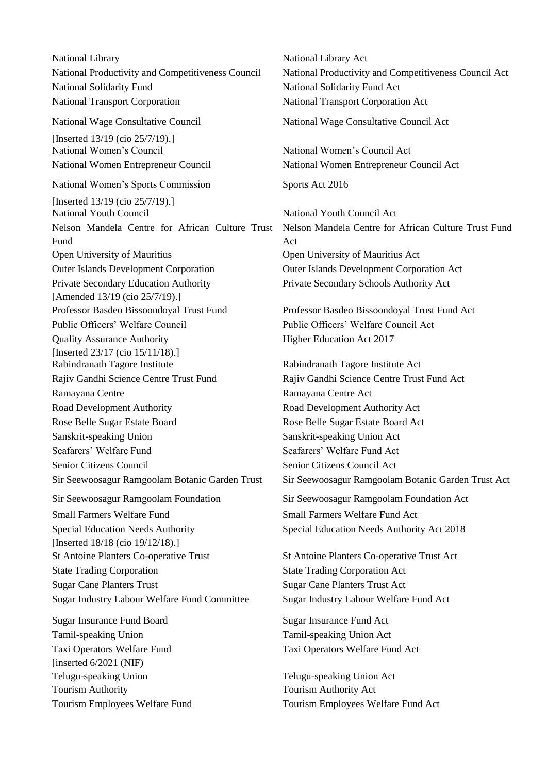National Library National Library Act National Solidarity Fund National Solidarity Fund Act National Transport Corporation National Transport Corporation Act National Wage Consultative Council [Inserted 13/19 (cio 25/7/19).] National Women's Council National Women's Council Act National Women Entrepreneur Council National Women Entrepreneur Council Act National Women's Sports Commission [Inserted 13/19 (cio 25/7/19).] National Youth Council National Youth Council Act Nelson Mandela Centre for African Culture Trust Fund Open University of Mauritius Open University of Mauritius Act Outer Islands Development Corporation Outer Islands Development Corporation Act Private Secondary Education Authority [Amended 13/19 (cio 25/7/19).] Professor Basdeo Bissoondoyal Trust Fund Professor Basdeo Bissoondoyal Trust Fund Act Public Officers' Welfare Council Public Officers' Welfare Council Act Quality Assurance Authority [Inserted 23/17 (cio 15/11/18).] Rabindranath Tagore Institute Rabindranath Tagore Institute Act Rajiv Gandhi Science Centre Trust Fund Rajiv Gandhi Science Centre Trust Fund Act Ramayana Centre **Ramayana Centre Act** Road Development Authority Road Development Authority Act Rose Belle Sugar Estate Board Rose Belle Sugar Estate Board Act Sanskrit-speaking Union Sanskrit-speaking Union Act Seafarers' Welfare Fund Seafarers' Welfare Fund Act Senior Citizens Council Senior Citizens Council Act Sir Seewoosagur Ramgoolam Foundation Sir Seewoosagur Ramgoolam Foundation Act Small Farmers Welfare Fund Small Farmers Welfare Fund Act Special Education Needs Authority [Inserted 18/18 (cio 19/12/18).] St Antoine Planters Co-operative Trust St Antoine Planters Co-operative Trust Act State Trading Corporation State Trading Corporation Act Sugar Cane Planters Trust Sugar Cane Planters Trust Act Sugar Industry Labour Welfare Fund Committee Sugar Industry Labour Welfare Fund Act Sugar Insurance Fund Board Sugar Insurance Fund Act Tamil-speaking Union Tamil-speaking Union Act Taxi Operators Welfare Fund [inserted  $6/2021$  (NIF) Telugu-speaking Union Tourism Authority Tourism Authority Act

National Productivity and Competitiveness Council National Productivity and Competitiveness Council Act National Wage Consultative Council Act Sports Act 2016 Nelson Mandela Centre for African Culture Trust Fund Act Private Secondary Schools Authority Act Higher Education Act 2017

Sir Seewoosagur Ramgoolam Botanic Garden Trust Sir Seewoosagur Ramgoolam Botanic Garden Trust Act

Special Education Needs Authority Act 2018

Taxi Operators Welfare Fund Act

Telugu-speaking Union Act Tourism Employees Welfare Fund Tourism Employees Welfare Fund Act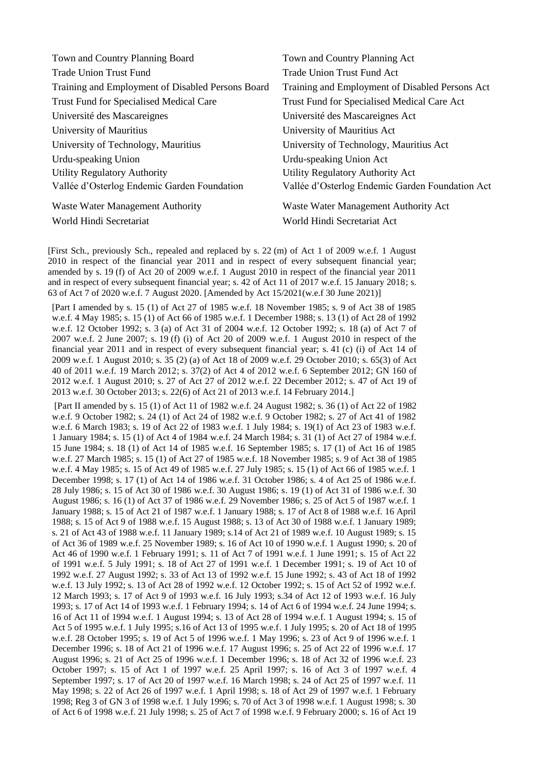| Town and Country Planning Board                   | Town and Country Planning Act                   |
|---------------------------------------------------|-------------------------------------------------|
| <b>Trade Union Trust Fund</b>                     | <b>Trade Union Trust Fund Act</b>               |
| Training and Employment of Disabled Persons Board | Training and Employment of Disabled Persons Act |
| <b>Trust Fund for Specialised Medical Care</b>    | Trust Fund for Specialised Medical Care Act     |
| Université des Mascareignes                       | Université des Mascareignes Act                 |
| University of Mauritius                           | University of Mauritius Act                     |
| University of Technology, Mauritius               | University of Technology, Mauritius Act         |
| Urdu-speaking Union                               | Urdu-speaking Union Act                         |
| <b>Utility Regulatory Authority</b>               | Utility Regulatory Authority Act                |
| Vallée d'Osterlog Endemic Garden Foundation       | Vallée d'Osterlog Endemic Garden Foundation Act |
| <b>Waste Water Management Authority</b>           | Waste Water Management Authority Act            |
| World Hindi Secretariat                           | World Hindi Secretariat Act                     |

[First Sch., previously Sch., repealed and replaced by s. 22 (m) of Act 1 of 2009 w.e.f. 1 August 2010 in respect of the financial year 2011 and in respect of every subsequent financial year; amended by s. 19 (f) of Act 20 of 2009 w.e.f. 1 August 2010 in respect of the financial year 2011 and in respect of every subsequent financial year; s. 42 of Act 11 of 2017 w.e.f. 15 January 2018; s. 63 of Act 7 of 2020 w.e.f. 7 August 2020. [Amended by Act 15/2021(w.e.f 30 June 2021)]

[Part I amended by s. 15 (1) of Act 27 of 1985 w.e.f. 18 November 1985; s. 9 of Act 38 of 1985 w.e.f. 4 May 1985; s. 15 (1) of Act 66 of 1985 w.e.f. 1 December 1988; s. 13 (1) of Act 28 of 1992 w.e.f. 12 October 1992; s. 3 (a) of Act 31 of 2004 w.e.f. 12 October 1992; s. 18 (a) of Act 7 of 2007 w.e.f. 2 June 2007; s. 19 (f) (i) of Act 20 of 2009 w.e.f. 1 August 2010 in respect of the financial year 2011 and in respect of every subsequent financial year; s. 41 (c) (i) of Act 14 of 2009 w.e.f. 1 August 2010; s. 35 (2) (a) of Act 18 of 2009 w.e.f. 29 October 2010; s. 65(3) of Act 40 of 2011 w.e.f. 19 March 2012; s. 37(2) of Act 4 of 2012 w.e.f. 6 September 2012; GN 160 of 2012 w.e.f. 1 August 2010; s. 27 of Act 27 of 2012 w.e.f. 22 December 2012; s. 47 of Act 19 of 2013 w.e.f. 30 October 2013; s. 22(6) of Act 21 of 2013 w.e.f. 14 February 2014.]

[Part II amended by s. 15 (1) of Act 11 of 1982 w.e.f. 24 August 1982; s. 36 (1) of Act 22 of 1982 w.e.f. 9 October 1982; s. 24 (1) of Act 24 of 1982 w.e.f. 9 October 1982; s. 27 of Act 41 of 1982 w.e.f. 6 March 1983; s. 19 of Act 22 of 1983 w.e.f. 1 July 1984; s. 19(1) of Act 23 of 1983 w.e.f. 1 January 1984; s. 15 (1) of Act 4 of 1984 w.e.f. 24 March 1984; s. 31 (1) of Act 27 of 1984 w.e.f. 15 June 1984; s. 18 (1) of Act 14 of 1985 w.e.f. 16 September 1985; s. 17 (1) of Act 16 of 1985 w.e.f. 27 March 1985; s. 15 (1) of Act 27 of 1985 w.e.f. 18 November 1985; s. 9 of Act 38 of 1985 w.e.f. 4 May 1985; s. 15 of Act 49 of 1985 w.e.f. 27 July 1985; s. 15 (1) of Act 66 of 1985 w.e.f. 1 December 1998; s. 17 (1) of Act 14 of 1986 w.e.f. 31 October 1986; s. 4 of Act 25 of 1986 w.e.f. 28 July 1986; s. 15 of Act 30 of 1986 w.e.f. 30 August 1986; s. 19 (1) of Act 31 of 1986 w.e.f. 30 August 1986; s. 16 (1) of Act 37 of 1986 w.e.f. 29 November 1986; s. 25 of Act 5 of 1987 w.e.f. 1 January 1988; s. 15 of Act 21 of 1987 w.e.f. 1 January 1988; s. 17 of Act 8 of 1988 w.e.f. 16 April 1988; s. 15 of Act 9 of 1988 w.e.f. 15 August 1988; s. 13 of Act 30 of 1988 w.e.f. 1 January 1989; s. 21 of Act 43 of 1988 w.e.f. 11 January 1989; s.14 of Act 21 of 1989 w.e.f. 10 August 1989; s. 15 of Act 36 of 1989 w.e.f. 25 November 1989; s. 16 of Act 10 of 1990 w.e.f. 1 August 1990; s. 20 of Act 46 of 1990 w.e.f. 1 February 1991; s. 11 of Act 7 of 1991 w.e.f. 1 June 1991; s. 15 of Act 22 of 1991 w.e.f. 5 July 1991; s. 18 of Act 27 of 1991 w.e.f. 1 December 1991; s. 19 of Act 10 of 1992 w.e.f. 27 August 1992; s. 33 of Act 13 of 1992 w.e.f. 15 June 1992; s. 43 of Act 18 of 1992 w.e.f. 13 July 1992; s. 13 of Act 28 of 1992 w.e.f. 12 October 1992; s. 15 of Act 52 of 1992 w.e.f. 12 March 1993; s. 17 of Act 9 of 1993 w.e.f. 16 July 1993; s.34 of Act 12 of 1993 w.e.f. 16 July 1993; s. 17 of Act 14 of 1993 w.e.f. 1 February 1994; s. 14 of Act 6 of 1994 w.e.f. 24 June 1994; s. 16 of Act 11 of 1994 w.e.f. 1 August 1994; s. 13 of Act 28 of 1994 w.e.f. 1 August 1994; s. 15 of Act 5 of 1995 w.e.f. 1 July 1995; s.16 of Act 13 of 1995 w.e.f. 1 July 1995; s. 20 of Act 18 of 1995 w.e.f. 28 October 1995; s. 19 of Act 5 of 1996 w.e.f. 1 May 1996; s. 23 of Act 9 of 1996 w.e.f. 1 December 1996; s. 18 of Act 21 of 1996 w.e.f. 17 August 1996; s. 25 of Act 22 of 1996 w.e.f. 17 August 1996; s. 21 of Act 25 of 1996 w.e.f. 1 December 1996; s. 18 of Act 32 of 1996 w.e.f. 23 October 1997; s. 15 of Act 1 of 1997 w.e.f. 25 April 1997; s. 16 of Act 3 of 1997 w.e.f. 4 September 1997; s. 17 of Act 20 of 1997 w.e.f. 16 March 1998; s. 24 of Act 25 of 1997 w.e.f. 11 May 1998; s. 22 of Act 26 of 1997 w.e.f. 1 April 1998; s. 18 of Act 29 of 1997 w.e.f. 1 February 1998; Reg 3 of GN 3 of 1998 w.e.f. 1 July 1996; s. 70 of Act 3 of 1998 w.e.f. 1 August 1998; s. 30 of Act 6 of 1998 w.e.f. 21 July 1998; s. 25 of Act 7 of 1998 w.e.f. 9 February 2000; s. 16 of Act 19